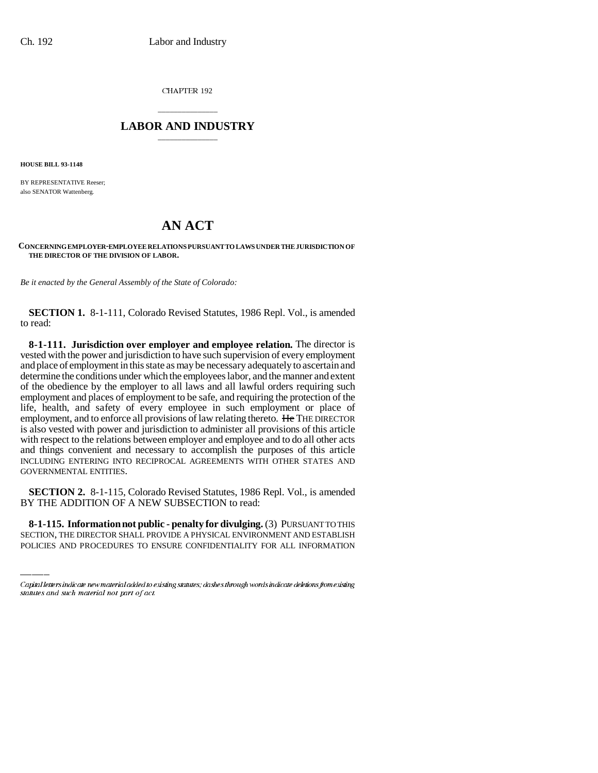CHAPTER 192

## \_\_\_\_\_\_\_\_\_\_\_\_\_\_\_ **LABOR AND INDUSTRY** \_\_\_\_\_\_\_\_\_\_\_\_\_\_\_

**HOUSE BILL 93-1148**

BY REPRESENTATIVE Reeser: also SENATOR Wattenberg.

## **AN ACT**

## **CONCERNING EMPLOYER-EMPLOYEE RELATIONS PURSUANT TO LAWS UNDER THE JURISDICTION OF THE DIRECTOR OF THE DIVISION OF LABOR.**

*Be it enacted by the General Assembly of the State of Colorado:*

**SECTION 1.** 8-1-111, Colorado Revised Statutes, 1986 Repl. Vol., is amended to read:

**8-1-111. Jurisdiction over employer and employee relation.** The director is vested with the power and jurisdiction to have such supervision of every employment and place of employment in this state as may be necessary adequately to ascertain and determine the conditions under which the employees labor, and the manner and extent of the obedience by the employer to all laws and all lawful orders requiring such employment and places of employment to be safe, and requiring the protection of the life, health, and safety of every employee in such employment or place of employment, and to enforce all provisions of law relating thereto. He THE DIRECTOR is also vested with power and jurisdiction to administer all provisions of this article with respect to the relations between employer and employee and to do all other acts and things convenient and necessary to accomplish the purposes of this article INCLUDING ENTERING INTO RECIPROCAL AGREEMENTS WITH OTHER STATES AND GOVERNMENTAL ENTITIES.

BY THE ADDITION OF A NEW SUBSECTION to read: **SECTION 2.** 8-1-115, Colorado Revised Statutes, 1986 Repl. Vol., is amended

**8-1-115. Information not public - penalty for divulging.** (3) PURSUANT TO THIS SECTION, THE DIRECTOR SHALL PROVIDE A PHYSICAL ENVIRONMENT AND ESTABLISH POLICIES AND PROCEDURES TO ENSURE CONFIDENTIALITY FOR ALL INFORMATION

Capital letters indicate new material added to existing statutes; dashes through words indicate deletions from existing statutes and such material not part of act.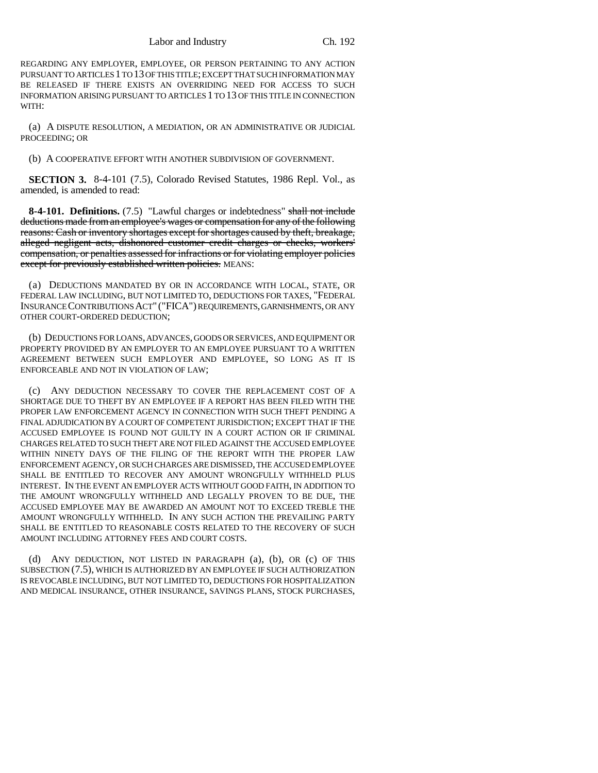Labor and Industry Ch. 192

REGARDING ANY EMPLOYER, EMPLOYEE, OR PERSON PERTAINING TO ANY ACTION PURSUANT TO ARTICLES 1 TO 13 OF THIS TITLE; EXCEPT THAT SUCH INFORMATION MAY BE RELEASED IF THERE EXISTS AN OVERRIDING NEED FOR ACCESS TO SUCH INFORMATION ARISING PURSUANT TO ARTICLES 1 TO 13 OF THIS TITLE IN CONNECTION WITH:

(a) A DISPUTE RESOLUTION, A MEDIATION, OR AN ADMINISTRATIVE OR JUDICIAL PROCEEDING; OR

(b) A COOPERATIVE EFFORT WITH ANOTHER SUBDIVISION OF GOVERNMENT.

**SECTION 3.** 8-4-101 (7.5), Colorado Revised Statutes, 1986 Repl. Vol., as amended, is amended to read:

**8-4-101. Definitions.** (7.5) "Lawful charges or indebtedness" shall not include deductions made from an employee's wages or compensation for any of the following reasons: Cash or inventory shortages except for shortages caused by theft, breakage, alleged negligent acts, dishonored customer credit charges or checks, workers' compensation, or penalties assessed for infractions or for violating employer policies except for previously established written policies. MEANS:

(a) DEDUCTIONS MANDATED BY OR IN ACCORDANCE WITH LOCAL, STATE, OR FEDERAL LAW INCLUDING, BUT NOT LIMITED TO, DEDUCTIONS FOR TAXES, "FEDERAL INSURANCE CONTRIBUTIONS ACT" ("FICA") REQUIREMENTS, GARNISHMENTS, OR ANY OTHER COURT-ORDERED DEDUCTION;

(b) DEDUCTIONS FOR LOANS, ADVANCES, GOODS OR SERVICES, AND EQUIPMENT OR PROPERTY PROVIDED BY AN EMPLOYER TO AN EMPLOYEE PURSUANT TO A WRITTEN AGREEMENT BETWEEN SUCH EMPLOYER AND EMPLOYEE, SO LONG AS IT IS ENFORCEABLE AND NOT IN VIOLATION OF LAW;

(c) ANY DEDUCTION NECESSARY TO COVER THE REPLACEMENT COST OF A SHORTAGE DUE TO THEFT BY AN EMPLOYEE IF A REPORT HAS BEEN FILED WITH THE PROPER LAW ENFORCEMENT AGENCY IN CONNECTION WITH SUCH THEFT PENDING A FINAL ADJUDICATION BY A COURT OF COMPETENT JURISDICTION; EXCEPT THAT IF THE ACCUSED EMPLOYEE IS FOUND NOT GUILTY IN A COURT ACTION OR IF CRIMINAL CHARGES RELATED TO SUCH THEFT ARE NOT FILED AGAINST THE ACCUSED EMPLOYEE WITHIN NINETY DAYS OF THE FILING OF THE REPORT WITH THE PROPER LAW ENFORCEMENT AGENCY, OR SUCH CHARGES ARE DISMISSED, THE ACCUSED EMPLOYEE SHALL BE ENTITLED TO RECOVER ANY AMOUNT WRONGFULLY WITHHELD PLUS INTEREST. IN THE EVENT AN EMPLOYER ACTS WITHOUT GOOD FAITH, IN ADDITION TO THE AMOUNT WRONGFULLY WITHHELD AND LEGALLY PROVEN TO BE DUE, THE ACCUSED EMPLOYEE MAY BE AWARDED AN AMOUNT NOT TO EXCEED TREBLE THE AMOUNT WRONGFULLY WITHHELD. IN ANY SUCH ACTION THE PREVAILING PARTY SHALL BE ENTITLED TO REASONABLE COSTS RELATED TO THE RECOVERY OF SUCH AMOUNT INCLUDING ATTORNEY FEES AND COURT COSTS.

(d) ANY DEDUCTION, NOT LISTED IN PARAGRAPH (a), (b), OR (c) OF THIS SUBSECTION (7.5), WHICH IS AUTHORIZED BY AN EMPLOYEE IF SUCH AUTHORIZATION IS REVOCABLE INCLUDING, BUT NOT LIMITED TO, DEDUCTIONS FOR HOSPITALIZATION AND MEDICAL INSURANCE, OTHER INSURANCE, SAVINGS PLANS, STOCK PURCHASES,